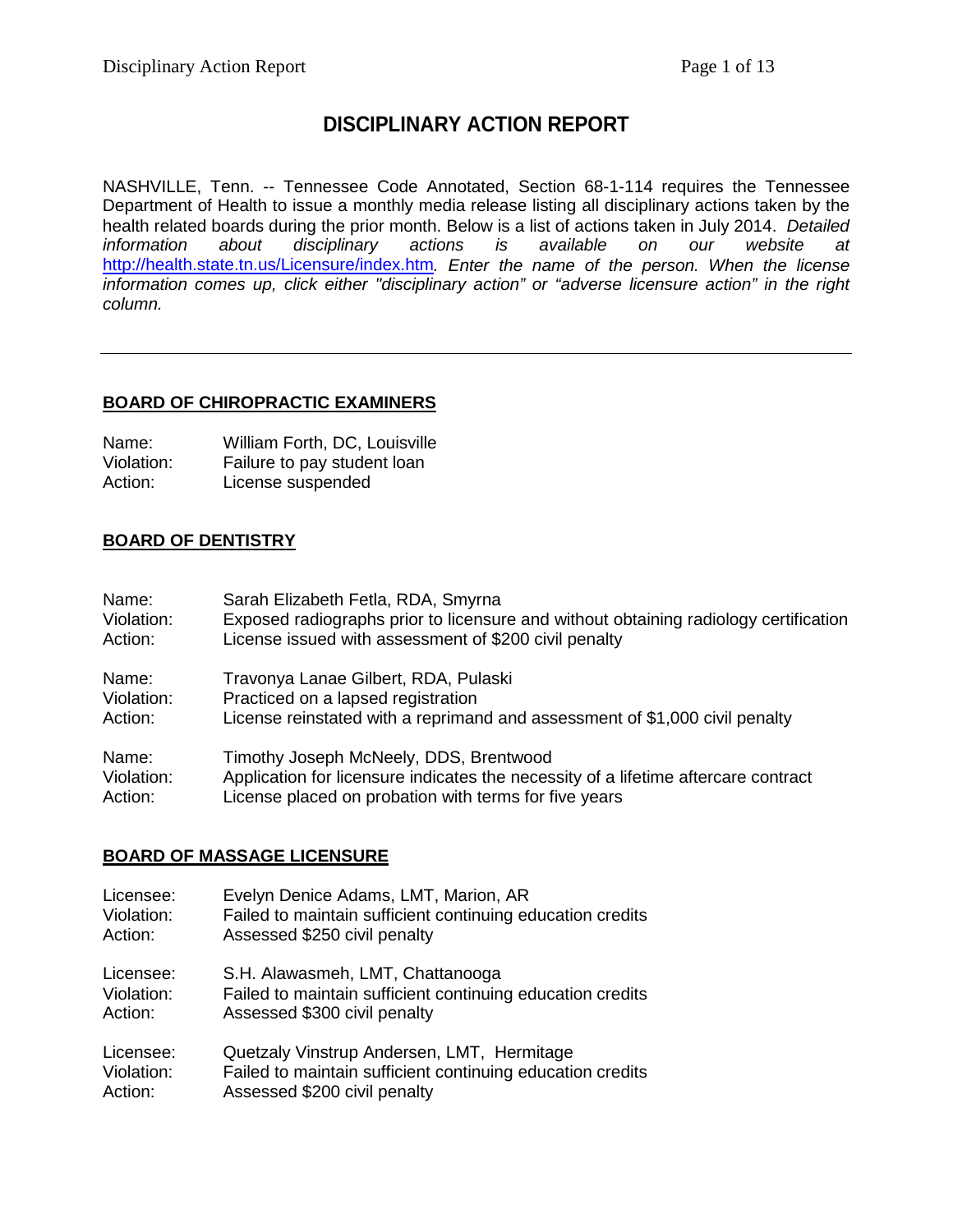# **DISCIPLINARY ACTION REPORT**

NASHVILLE, Tenn. -- Tennessee Code Annotated, Section 68-1-114 requires the Tennessee Department of Health to issue a monthly media release listing all disciplinary actions taken by the health related boards during the prior month. Below is a list of actions taken in July 2014. *Detailed*  disciplinary actions is available on our website at <http://health.state.tn.us/Licensure/index.htm>*. Enter the name of the person. When the license information comes up, click either "disciplinary action" or "adverse licensure action" in the right column.*

### **BOARD OF CHIROPRACTIC EXAMINERS**

| Name:      | William Forth, DC, Louisville |
|------------|-------------------------------|
| Violation: | Failure to pay student loan   |
| Action:    | License suspended             |

### **BOARD OF DENTISTRY**

| Name:      | Sarah Elizabeth Fetla, RDA, Smyrna                                                   |
|------------|--------------------------------------------------------------------------------------|
| Violation: | Exposed radiographs prior to licensure and without obtaining radiology certification |
| Action:    | License issued with assessment of \$200 civil penalty                                |
| Name:      | Travonya Lanae Gilbert, RDA, Pulaski                                                 |
| Violation: | Practiced on a lapsed registration                                                   |
| Action:    | License reinstated with a reprimand and assessment of \$1,000 civil penalty          |
| Name:      | Timothy Joseph McNeely, DDS, Brentwood                                               |
| Violation: | Application for licensure indicates the necessity of a lifetime aftercare contract   |
| Action:    | License placed on probation with terms for five years                                |

### **BOARD OF MASSAGE LICENSURE**

| Licensee:  | Evelyn Denice Adams, LMT, Marion, AR                       |
|------------|------------------------------------------------------------|
| Violation: | Failed to maintain sufficient continuing education credits |
| Action:    | Assessed \$250 civil penalty                               |
| Licensee:  | S.H. Alawasmeh, LMT, Chattanooga                           |
| Violation: | Failed to maintain sufficient continuing education credits |
| Action:    | Assessed \$300 civil penalty                               |
| Licensee:  | Quetzaly Vinstrup Andersen, LMT, Hermitage                 |
| Violation: | Failed to maintain sufficient continuing education credits |
| Action:    | Assessed \$200 civil penalty                               |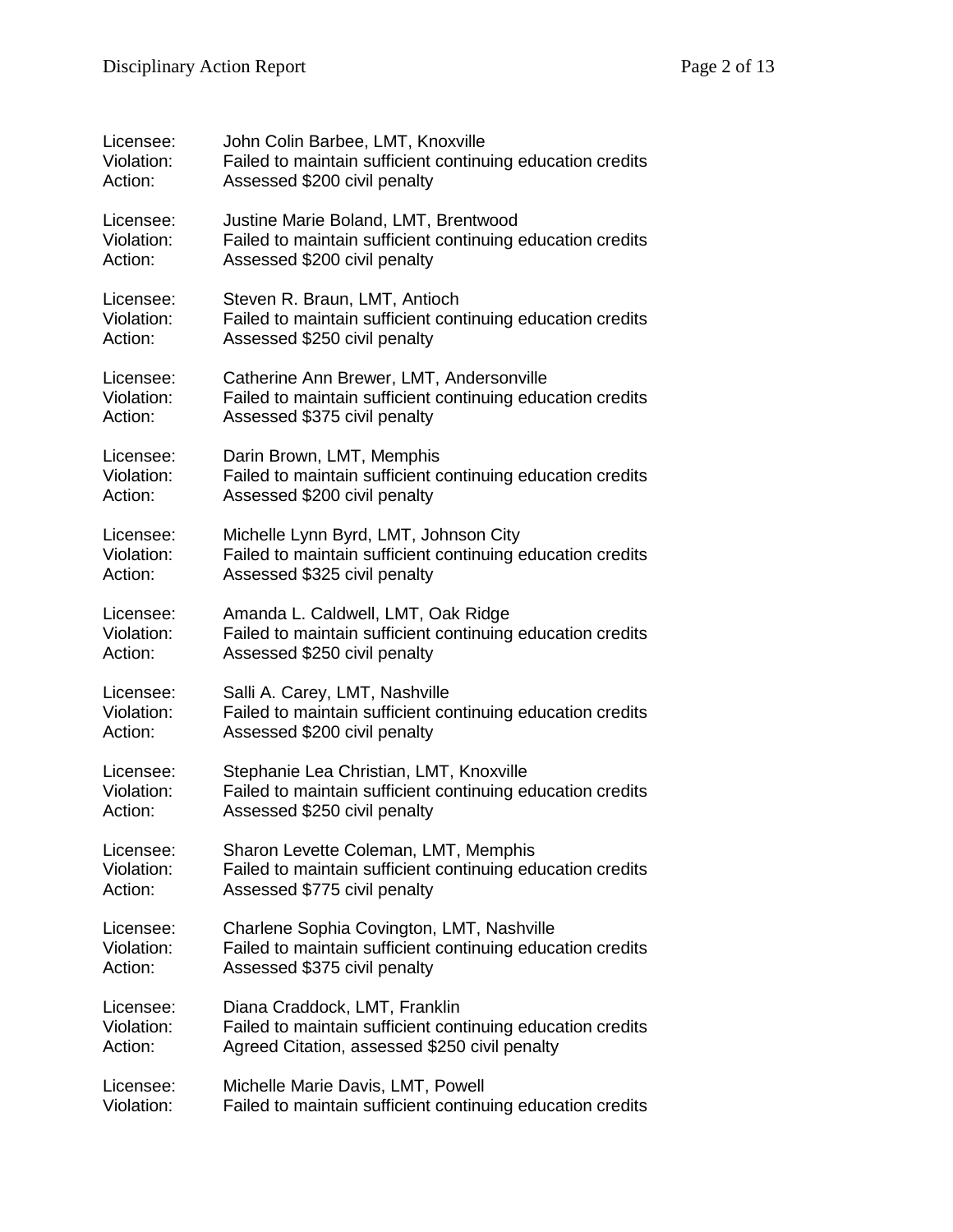| Licensee:  | John Colin Barbee, LMT, Knoxville                          |
|------------|------------------------------------------------------------|
| Violation: | Failed to maintain sufficient continuing education credits |
| Action:    | Assessed \$200 civil penalty                               |
| Licensee:  | Justine Marie Boland, LMT, Brentwood                       |
| Violation: | Failed to maintain sufficient continuing education credits |
| Action:    | Assessed \$200 civil penalty                               |
| Licensee:  | Steven R. Braun, LMT, Antioch                              |
| Violation: | Failed to maintain sufficient continuing education credits |
| Action:    | Assessed \$250 civil penalty                               |
| Licensee:  | Catherine Ann Brewer, LMT, Andersonville                   |
| Violation: | Failed to maintain sufficient continuing education credits |
| Action:    | Assessed \$375 civil penalty                               |
| Licensee:  | Darin Brown, LMT, Memphis                                  |
| Violation: | Failed to maintain sufficient continuing education credits |
| Action:    | Assessed \$200 civil penalty                               |
| Licensee:  | Michelle Lynn Byrd, LMT, Johnson City                      |
| Violation: | Failed to maintain sufficient continuing education credits |
| Action:    | Assessed \$325 civil penalty                               |
| Licensee:  | Amanda L. Caldwell, LMT, Oak Ridge                         |
| Violation: | Failed to maintain sufficient continuing education credits |
| Action:    | Assessed \$250 civil penalty                               |
| Licensee:  | Salli A. Carey, LMT, Nashville                             |
| Violation: | Failed to maintain sufficient continuing education credits |
| Action:    | Assessed \$200 civil penalty                               |
| Licensee:  | Stephanie Lea Christian, LMT, Knoxville                    |
| Violation: | Failed to maintain sufficient continuing education credits |
| Action:    | Assessed \$250 civil penalty                               |
| Licensee:  | Sharon Levette Coleman, LMT, Memphis                       |
| Violation: | Failed to maintain sufficient continuing education credits |
| Action:    | Assessed \$775 civil penalty                               |
| Licensee:  | Charlene Sophia Covington, LMT, Nashville                  |
| Violation: | Failed to maintain sufficient continuing education credits |
| Action:    | Assessed \$375 civil penalty                               |
| Licensee:  | Diana Craddock, LMT, Franklin                              |
| Violation: | Failed to maintain sufficient continuing education credits |
| Action:    | Agreed Citation, assessed \$250 civil penalty              |
| Licensee:  | Michelle Marie Davis, LMT, Powell                          |
| Violation: | Failed to maintain sufficient continuing education credits |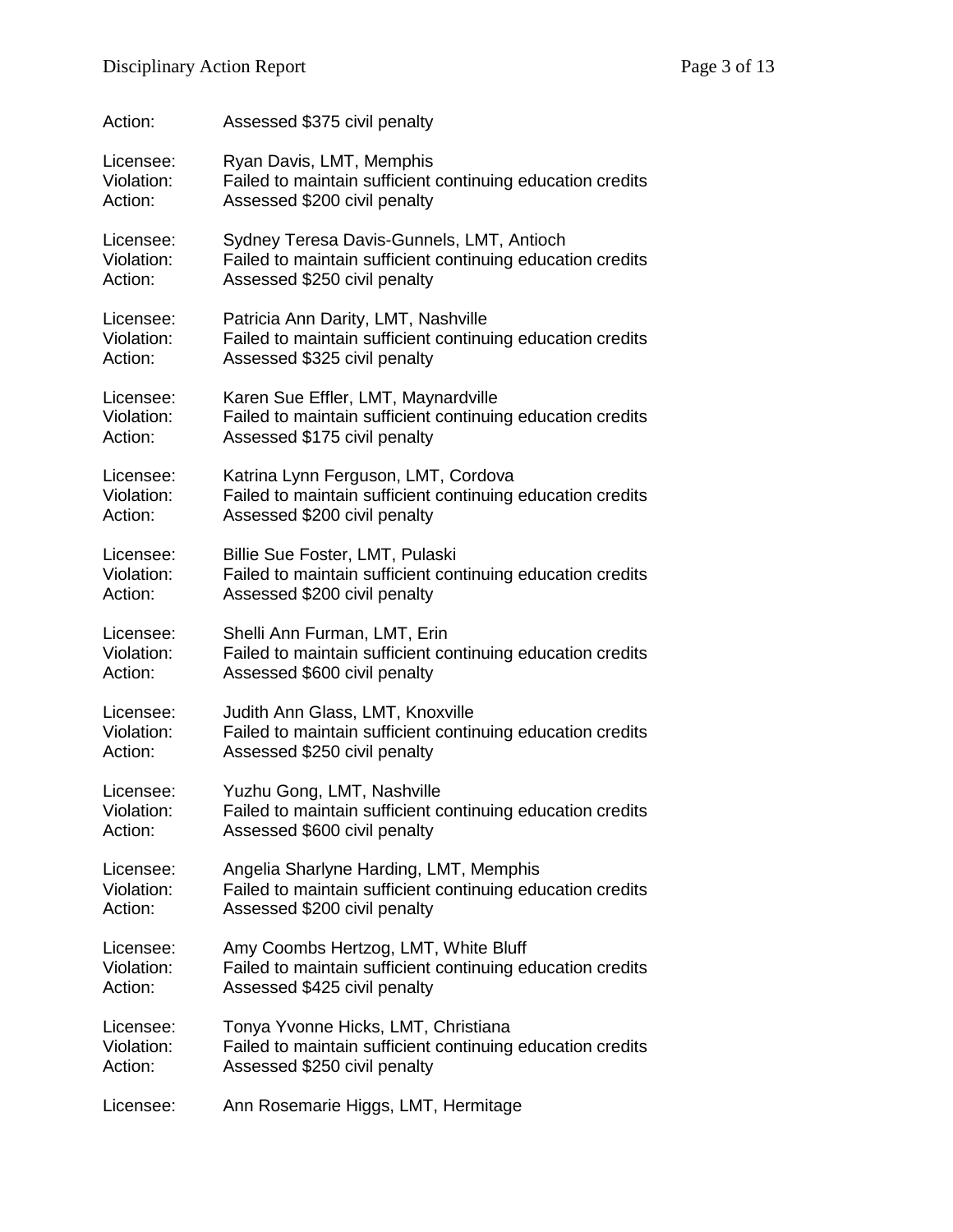| Action:    | Assessed \$375 civil penalty                               |
|------------|------------------------------------------------------------|
| Licensee:  | Ryan Davis, LMT, Memphis                                   |
| Violation: | Failed to maintain sufficient continuing education credits |
| Action:    | Assessed \$200 civil penalty                               |
| Licensee:  | Sydney Teresa Davis-Gunnels, LMT, Antioch                  |
| Violation: | Failed to maintain sufficient continuing education credits |
| Action:    | Assessed \$250 civil penalty                               |
| Licensee:  | Patricia Ann Darity, LMT, Nashville                        |
| Violation: | Failed to maintain sufficient continuing education credits |
| Action:    | Assessed \$325 civil penalty                               |
| Licensee:  | Karen Sue Effler, LMT, Maynardville                        |
| Violation: | Failed to maintain sufficient continuing education credits |
| Action:    | Assessed \$175 civil penalty                               |
| Licensee:  | Katrina Lynn Ferguson, LMT, Cordova                        |
| Violation: | Failed to maintain sufficient continuing education credits |
| Action:    | Assessed \$200 civil penalty                               |
| Licensee:  | Billie Sue Foster, LMT, Pulaski                            |
| Violation: | Failed to maintain sufficient continuing education credits |
| Action:    | Assessed \$200 civil penalty                               |
| Licensee:  | Shelli Ann Furman, LMT, Erin                               |
| Violation: | Failed to maintain sufficient continuing education credits |
| Action:    | Assessed \$600 civil penalty                               |
| Licensee:  | Judith Ann Glass, LMT, Knoxville                           |
| Violation: | Failed to maintain sufficient continuing education credits |
| Action:    | Assessed \$250 civil penalty                               |
| Licensee:  | Yuzhu Gong, LMT, Nashville                                 |
| Violation: | Failed to maintain sufficient continuing education credits |
| Action:    | Assessed \$600 civil penalty                               |
| Licensee:  | Angelia Sharlyne Harding, LMT, Memphis                     |
| Violation: | Failed to maintain sufficient continuing education credits |
| Action:    | Assessed \$200 civil penalty                               |
| Licensee:  | Amy Coombs Hertzog, LMT, White Bluff                       |
| Violation: | Failed to maintain sufficient continuing education credits |
| Action:    | Assessed \$425 civil penalty                               |
| Licensee:  | Tonya Yvonne Hicks, LMT, Christiana                        |
| Violation: | Failed to maintain sufficient continuing education credits |
| Action:    | Assessed \$250 civil penalty                               |
| Licensee:  | Ann Rosemarie Higgs, LMT, Hermitage                        |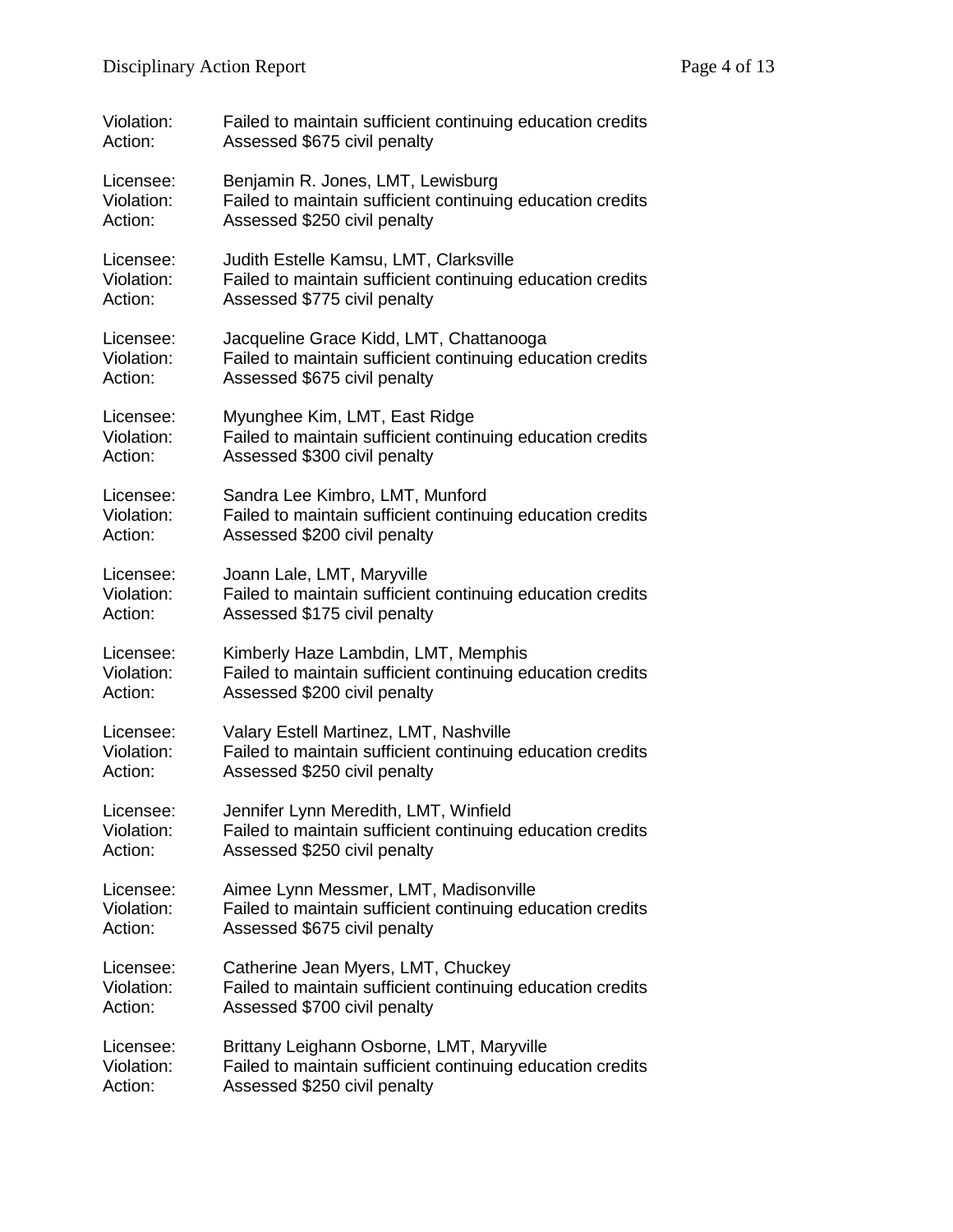| Violation: | Failed to maintain sufficient continuing education credits |
|------------|------------------------------------------------------------|
| Action:    | Assessed \$675 civil penalty                               |
| Licensee:  | Benjamin R. Jones, LMT, Lewisburg                          |
| Violation: | Failed to maintain sufficient continuing education credits |
| Action:    | Assessed \$250 civil penalty                               |
| Licensee:  | Judith Estelle Kamsu, LMT, Clarksville                     |
| Violation: | Failed to maintain sufficient continuing education credits |
| Action:    | Assessed \$775 civil penalty                               |
| Licensee:  | Jacqueline Grace Kidd, LMT, Chattanooga                    |
| Violation: | Failed to maintain sufficient continuing education credits |
| Action:    | Assessed \$675 civil penalty                               |
| Licensee:  | Myunghee Kim, LMT, East Ridge                              |
| Violation: | Failed to maintain sufficient continuing education credits |
| Action:    | Assessed \$300 civil penalty                               |
| Licensee:  | Sandra Lee Kimbro, LMT, Munford                            |
| Violation: | Failed to maintain sufficient continuing education credits |
| Action:    | Assessed \$200 civil penalty                               |
| Licensee:  | Joann Lale, LMT, Maryville                                 |
| Violation: | Failed to maintain sufficient continuing education credits |
| Action:    | Assessed \$175 civil penalty                               |
| Licensee:  | Kimberly Haze Lambdin, LMT, Memphis                        |
| Violation: | Failed to maintain sufficient continuing education credits |
| Action:    | Assessed \$200 civil penalty                               |
| Licensee:  | Valary Estell Martinez, LMT, Nashville                     |
| Violation: | Failed to maintain sufficient continuing education credits |
| Action:    | Assessed \$250 civil penalty                               |
| Licensee:  | Jennifer Lynn Meredith, LMT, Winfield                      |
| Violation: | Failed to maintain sufficient continuing education credits |
| Action:    | Assessed \$250 civil penalty                               |
| Licensee:  | Aimee Lynn Messmer, LMT, Madisonville                      |
| Violation: | Failed to maintain sufficient continuing education credits |
| Action:    | Assessed \$675 civil penalty                               |
| Licensee:  | Catherine Jean Myers, LMT, Chuckey                         |
| Violation: | Failed to maintain sufficient continuing education credits |
| Action:    | Assessed \$700 civil penalty                               |
| Licensee:  | Brittany Leighann Osborne, LMT, Maryville                  |
| Violation: | Failed to maintain sufficient continuing education credits |
| Action:    | Assessed \$250 civil penalty                               |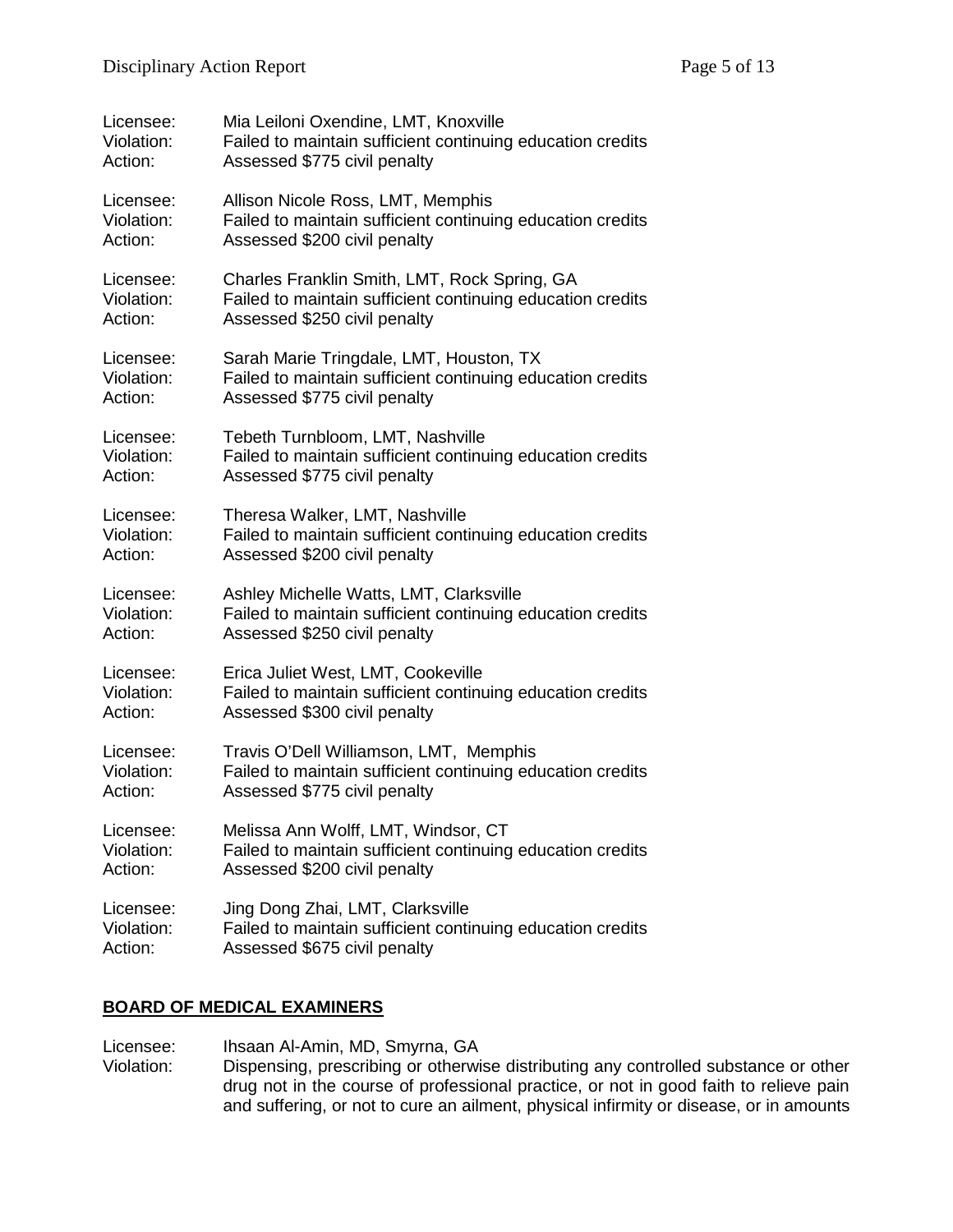| Licensee:  | Mia Leiloni Oxendine, LMT, Knoxville                       |
|------------|------------------------------------------------------------|
| Violation: | Failed to maintain sufficient continuing education credits |
| Action:    | Assessed \$775 civil penalty                               |
| Licensee:  | Allison Nicole Ross, LMT, Memphis                          |
| Violation: | Failed to maintain sufficient continuing education credits |
| Action:    | Assessed \$200 civil penalty                               |
| Licensee:  | Charles Franklin Smith, LMT, Rock Spring, GA               |
| Violation: | Failed to maintain sufficient continuing education credits |
| Action:    | Assessed \$250 civil penalty                               |
| Licensee:  | Sarah Marie Tringdale, LMT, Houston, TX                    |
| Violation: | Failed to maintain sufficient continuing education credits |
| Action:    | Assessed \$775 civil penalty                               |
| Licensee:  | Tebeth Turnbloom, LMT, Nashville                           |
| Violation: | Failed to maintain sufficient continuing education credits |
| Action:    | Assessed \$775 civil penalty                               |
| Licensee:  | Theresa Walker, LMT, Nashville                             |
| Violation: | Failed to maintain sufficient continuing education credits |
| Action:    | Assessed \$200 civil penalty                               |
| Licensee:  | Ashley Michelle Watts, LMT, Clarksville                    |
| Violation: | Failed to maintain sufficient continuing education credits |
| Action:    | Assessed \$250 civil penalty                               |
| Licensee:  | Erica Juliet West, LMT, Cookeville                         |
| Violation: | Failed to maintain sufficient continuing education credits |
| Action:    | Assessed \$300 civil penalty                               |
| Licensee:  | Travis O'Dell Williamson, LMT, Memphis                     |
| Violation: | Failed to maintain sufficient continuing education credits |
| Action:    | Assessed \$775 civil penalty                               |
| Licensee:  | Melissa Ann Wolff, LMT, Windsor, CT                        |
| Violation: | Failed to maintain sufficient continuing education credits |
| Action:    | Assessed \$200 civil penalty                               |
| Licensee:  | Jing Dong Zhai, LMT, Clarksville                           |
| Violation: | Failed to maintain sufficient continuing education credits |
| Action:    | Assessed \$675 civil penalty                               |

## **BOARD OF MEDICAL EXAMINERS**

Licensee: Ihsaan Al-Amin, MD, Smyrna, GA<br>Violation: Dispensing, prescribing or otherwi Dispensing, prescribing or otherwise distributing any controlled substance or other drug not in the course of professional practice, or not in good faith to relieve pain and suffering, or not to cure an ailment, physical infirmity or disease, or in amounts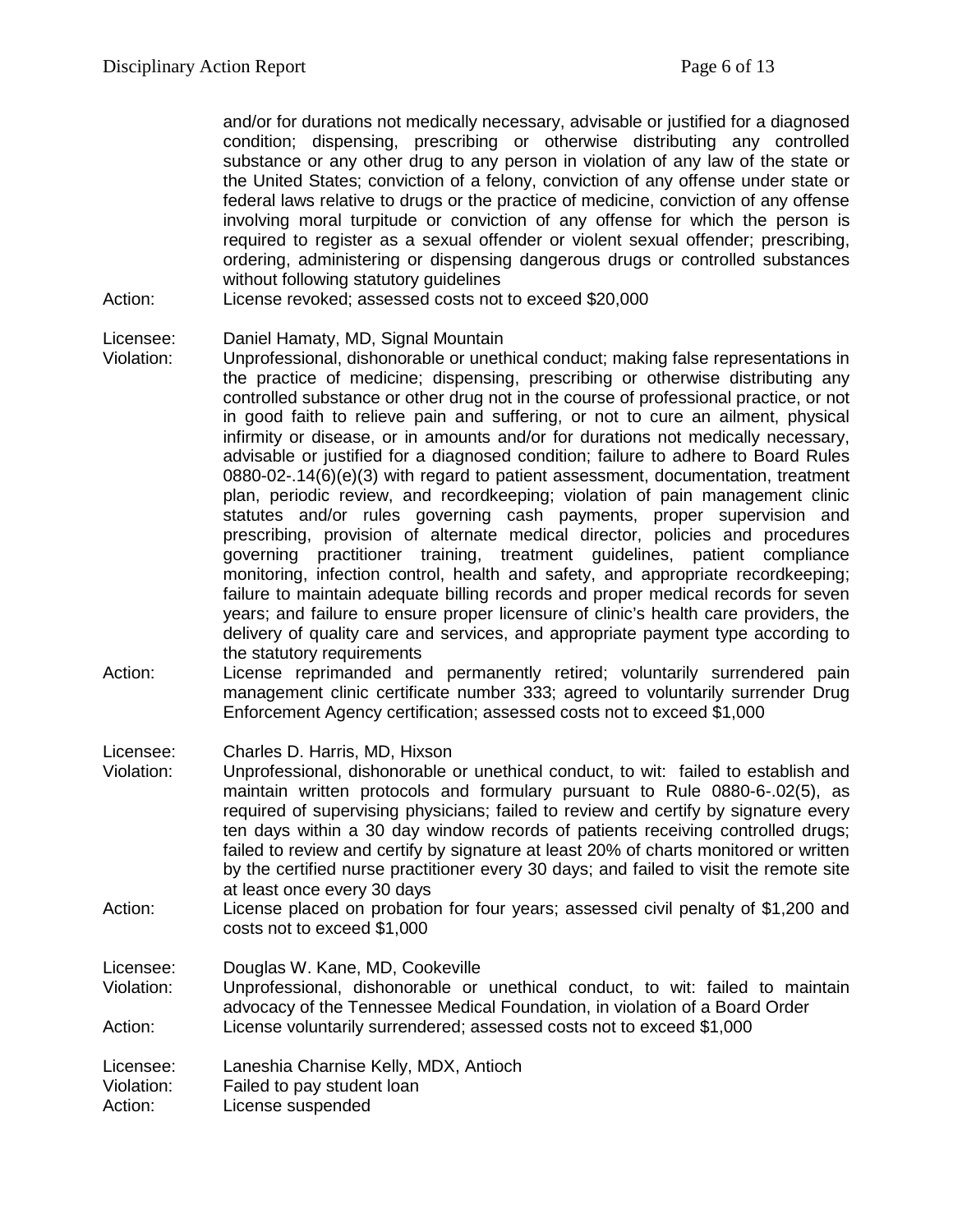and/or for durations not medically necessary, advisable or justified for a diagnosed condition; dispensing, prescribing or otherwise distributing any controlled substance or any other drug to any person in violation of any law of the state or the United States; conviction of a felony, conviction of any offense under state or federal laws relative to drugs or the practice of medicine, conviction of any offense involving moral turpitude or conviction of any offense for which the person is required to register as a sexual offender or violent sexual offender; prescribing, ordering, administering or dispensing dangerous drugs or controlled substances without following statutory guidelines

Action: License revoked; assessed costs not to exceed \$20,000

Licensee: Daniel Hamaty, MD, Signal Mountain

- Violation: Unprofessional, dishonorable or unethical conduct; making false representations in the practice of medicine; dispensing, prescribing or otherwise distributing any controlled substance or other drug not in the course of professional practice, or not in good faith to relieve pain and suffering, or not to cure an ailment, physical infirmity or disease, or in amounts and/or for durations not medically necessary, advisable or justified for a diagnosed condition; failure to adhere to Board Rules 0880-02-.14(6)(e)(3) with regard to patient assessment, documentation, treatment plan, periodic review, and recordkeeping; violation of pain management clinic statutes and/or rules governing cash payments, proper supervision and prescribing, provision of alternate medical director, policies and procedures governing practitioner training, treatment guidelines, patient compliance monitoring, infection control, health and safety, and appropriate recordkeeping; failure to maintain adequate billing records and proper medical records for seven years; and failure to ensure proper licensure of clinic's health care providers, the delivery of quality care and services, and appropriate payment type according to the statutory requirements
- Action: License reprimanded and permanently retired; voluntarily surrendered pain management clinic certificate number 333; agreed to voluntarily surrender Drug Enforcement Agency certification; assessed costs not to exceed \$1,000

Licensee: Charles D. Harris, MD, Hixson<br>Violation: Unprofessional. dishonorable o

- Unprofessional, dishonorable or unethical conduct, to wit: failed to establish and maintain written protocols and formulary pursuant to Rule 0880-6-.02(5), as required of supervising physicians; failed to review and certify by signature every ten days within a 30 day window records of patients receiving controlled drugs; failed to review and certify by signature at least 20% of charts monitored or written by the certified nurse practitioner every 30 days; and failed to visit the remote site at least once every 30 days
- Action: License placed on probation for four years; assessed civil penalty of \$1,200 and costs not to exceed \$1,000

Licensee: Douglas W. Kane, MD, Cookeville

Violation: Unprofessional, dishonorable or unethical conduct, to wit: failed to maintain advocacy of the Tennessee Medical Foundation, in violation of a Board Order Action: License voluntarily surrendered; assessed costs not to exceed \$1,000

Licensee: Laneshia Charnise Kelly, MDX, Antioch

Violation: Failed to pay student loan

Action: License suspended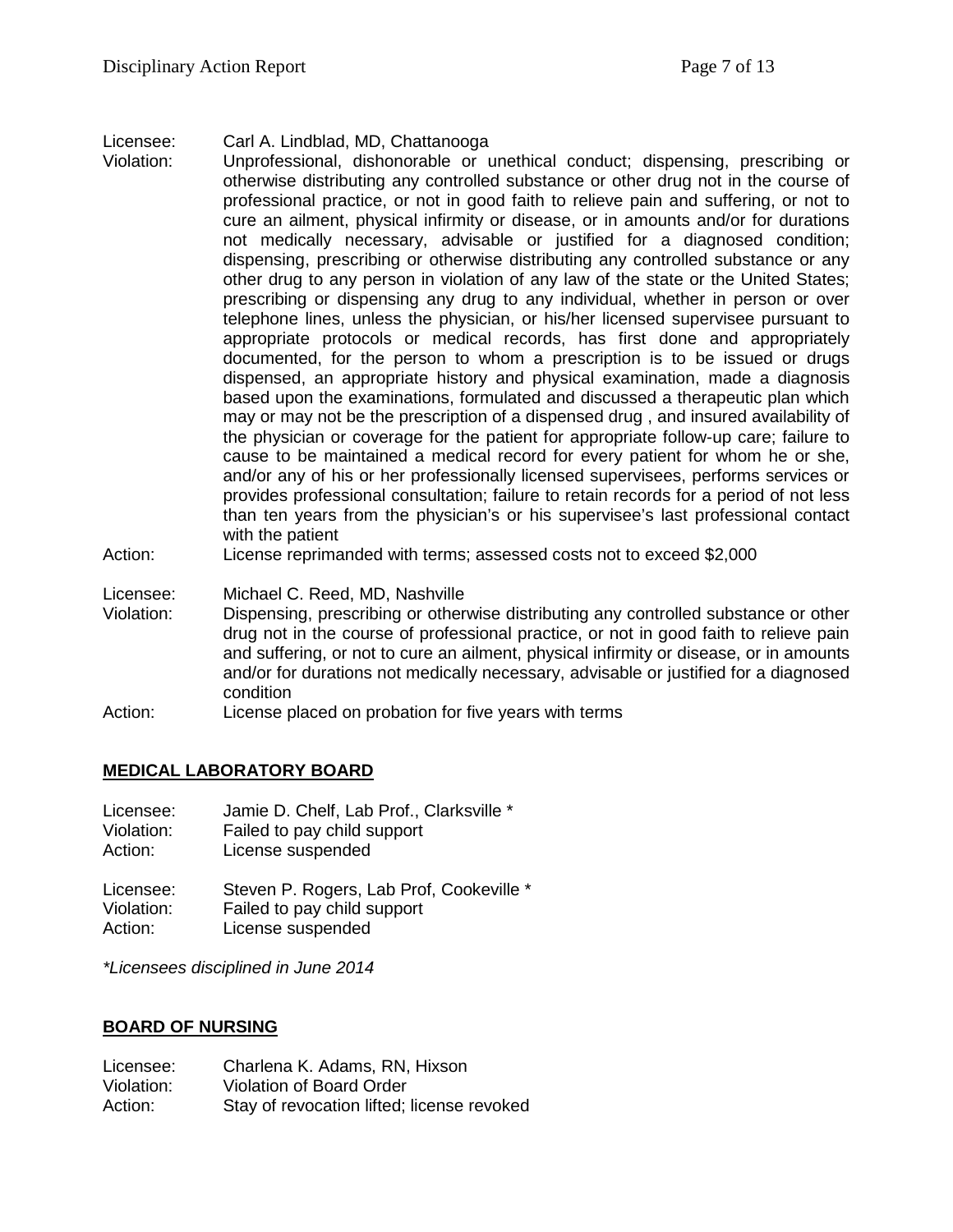#### Licensee: Carl A. Lindblad, MD, Chattanooga

- Violation: Unprofessional, dishonorable or unethical conduct; dispensing, prescribing or otherwise distributing any controlled substance or other drug not in the course of professional practice, or not in good faith to relieve pain and suffering, or not to cure an ailment, physical infirmity or disease, or in amounts and/or for durations not medically necessary, advisable or justified for a diagnosed condition; dispensing, prescribing or otherwise distributing any controlled substance or any other drug to any person in violation of any law of the state or the United States; prescribing or dispensing any drug to any individual, whether in person or over telephone lines, unless the physician, or his/her licensed supervisee pursuant to appropriate protocols or medical records, has first done and appropriately documented, for the person to whom a prescription is to be issued or drugs dispensed, an appropriate history and physical examination, made a diagnosis based upon the examinations, formulated and discussed a therapeutic plan which may or may not be the prescription of a dispensed drug , and insured availability of the physician or coverage for the patient for appropriate follow-up care; failure to cause to be maintained a medical record for every patient for whom he or she, and/or any of his or her professionally licensed supervisees, performs services or provides professional consultation; failure to retain records for a period of not less than ten years from the physician's or his supervisee's last professional contact with the patient
- Action: License reprimanded with terms; assessed costs not to exceed \$2,000
- Licensee: Michael C. Reed, MD, Nashville
- Violation: Dispensing, prescribing or otherwise distributing any controlled substance or other drug not in the course of professional practice, or not in good faith to relieve pain and suffering, or not to cure an ailment, physical infirmity or disease, or in amounts and/or for durations not medically necessary, advisable or justified for a diagnosed condition
- Action: License placed on probation for five years with terms

### **MEDICAL LABORATORY BOARD**

| Licensee:  | Jamie D. Chelf, Lab Prof., Clarksville * |
|------------|------------------------------------------|
| Violation: | Failed to pay child support              |
| Action:    | License suspended                        |
| Liconson:  | Stoven D. Pogers, Lab Prof. Cookeville   |

Licensee: Steven P. Rogers, Lab Prof, Cookeville \* Violation: Failed to pay child support Action: License suspended

*\*Licensees disciplined in June 2014*

### **BOARD OF NURSING**

| Licensee:  | Charlena K. Adams, RN, Hixson              |
|------------|--------------------------------------------|
| Violation: | Violation of Board Order                   |
| Action:    | Stay of revocation lifted; license revoked |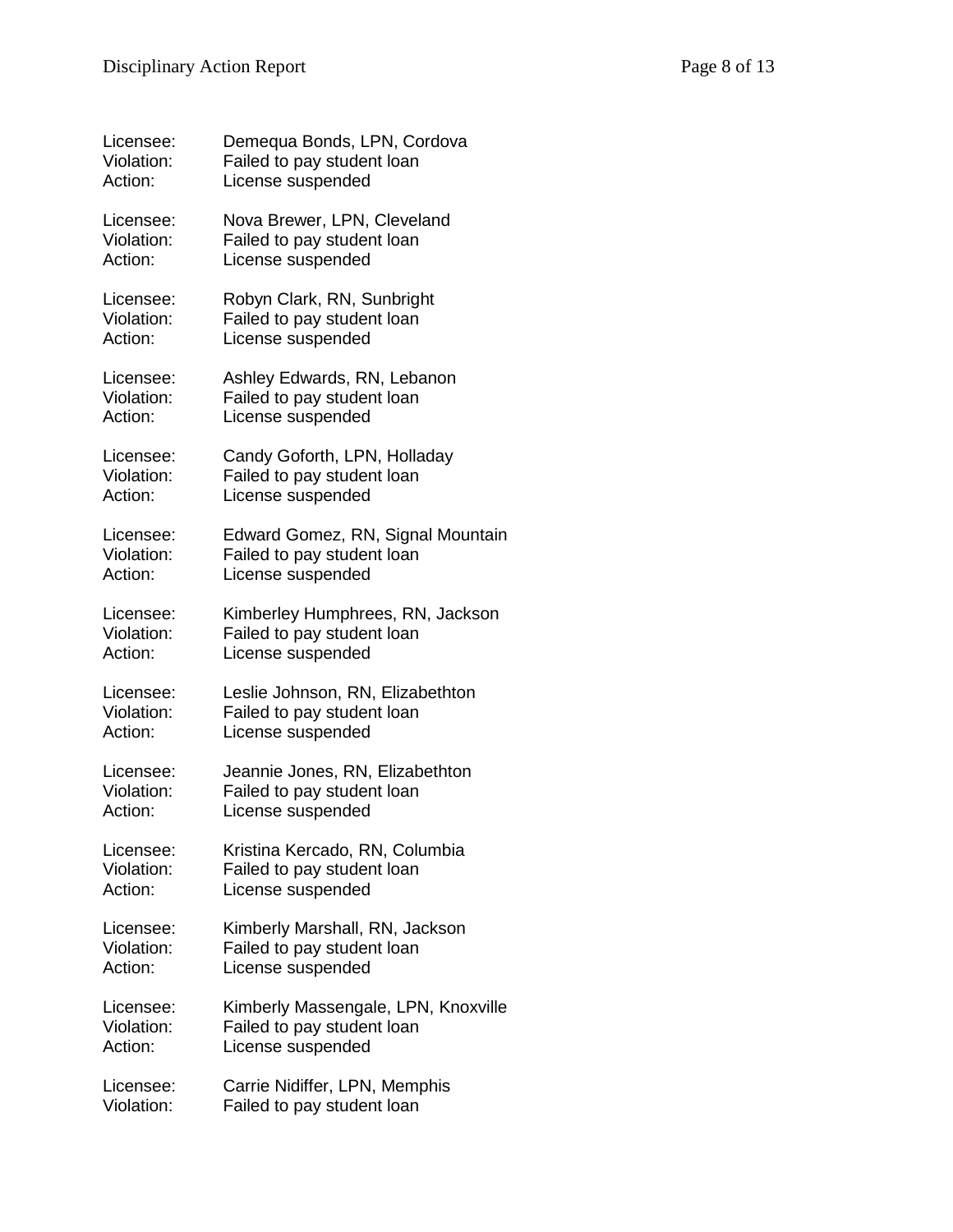| Licensee:  | Demequa Bonds, LPN, Cordova         |
|------------|-------------------------------------|
| Violation: | Failed to pay student loan          |
| Action:    | License suspended                   |
| Licensee:  | Nova Brewer, LPN, Cleveland         |
| Violation: | Failed to pay student loan          |
| Action:    | License suspended                   |
| Licensee:  | Robyn Clark, RN, Sunbright          |
| Violation: | Failed to pay student loan          |
| Action:    | License suspended                   |
| Licensee:  | Ashley Edwards, RN, Lebanon         |
| Violation: | Failed to pay student loan          |
| Action:    | License suspended                   |
| Licensee:  | Candy Goforth, LPN, Holladay        |
| Violation: | Failed to pay student loan          |
| Action:    | License suspended                   |
| Licensee:  | Edward Gomez, RN, Signal Mountain   |
| Violation: | Failed to pay student loan          |
| Action:    | License suspended                   |
| Licensee:  | Kimberley Humphrees, RN, Jackson    |
| Violation: | Failed to pay student loan          |
| Action:    | License suspended                   |
| Licensee:  | Leslie Johnson, RN, Elizabethton    |
| Violation: | Failed to pay student loan          |
| Action:    | License suspended                   |
| Licensee:  | Jeannie Jones, RN, Elizabethton     |
| Violation: | Failed to pay student loan          |
| Action:    | License suspended                   |
| Licensee:  | Kristina Kercado, RN, Columbia      |
| Violation: | Failed to pay student loan          |
| Action:    | License suspended                   |
| Licensee:  | Kimberly Marshall, RN, Jackson      |
| Violation: | Failed to pay student loan          |
| Action:    | License suspended                   |
| Licensee:  | Kimberly Massengale, LPN, Knoxville |
| Violation: | Failed to pay student loan          |
| Action:    | License suspended                   |
| Licensee:  | Carrie Nidiffer, LPN, Memphis       |
| Violation: | Failed to pay student loan          |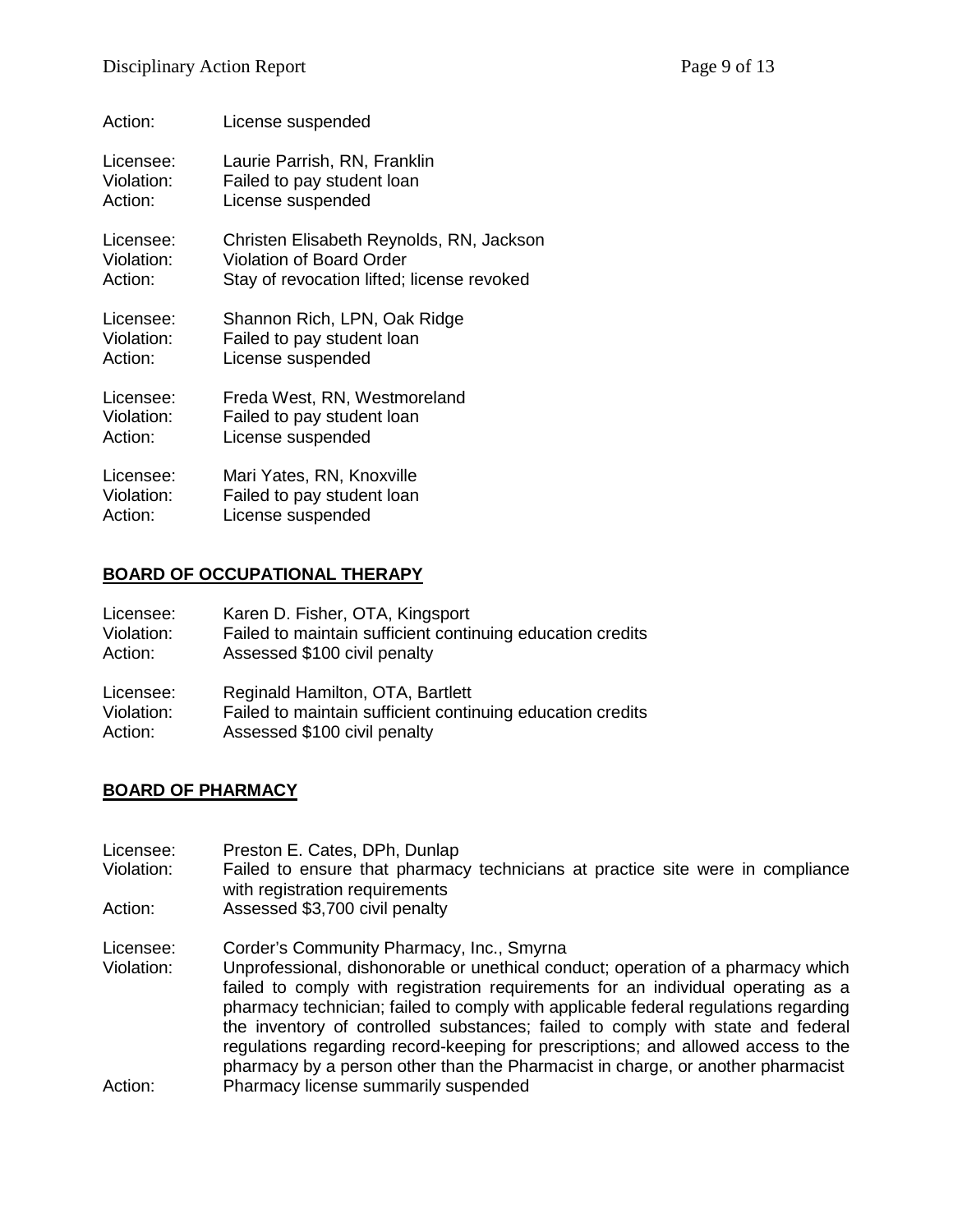| Action:    | License suspended                          |
|------------|--------------------------------------------|
| Licensee:  | Laurie Parrish, RN, Franklin               |
| Violation: | Failed to pay student loan                 |
| Action:    | License suspended                          |
| Licensee:  | Christen Elisabeth Reynolds, RN, Jackson   |
| Violation: | Violation of Board Order                   |
| Action:    | Stay of revocation lifted; license revoked |
| Licensee:  | Shannon Rich, LPN, Oak Ridge               |
| Violation: | Failed to pay student loan                 |
| Action:    | License suspended                          |
| Licensee:  | Freda West, RN, Westmoreland               |
| Violation: | Failed to pay student loan                 |
| Action:    | License suspended                          |
| Licensee:  | Mari Yates, RN, Knoxville                  |
| Violation: | Failed to pay student loan                 |
| Action:    | License suspended                          |

## **BOARD OF OCCUPATIONAL THERAPY**

| Licensee:  | Karen D. Fisher, OTA, Kingsport                            |
|------------|------------------------------------------------------------|
| Violation: | Failed to maintain sufficient continuing education credits |
| Action:    | Assessed \$100 civil penalty                               |
| Licensee:  | Reginald Hamilton, OTA, Bartlett                           |
| Violation: | Failed to maintain sufficient continuing education credits |
| Action:    | Assessed \$100 civil penalty                               |

## **BOARD OF PHARMACY**

| Licensee:<br>Violation:<br>Action: | Preston E. Cates, DPh, Dunlap<br>Failed to ensure that pharmacy technicians at practice site were in compliance<br>with registration requirements<br>Assessed \$3,700 civil penalty |
|------------------------------------|-------------------------------------------------------------------------------------------------------------------------------------------------------------------------------------|
|                                    |                                                                                                                                                                                     |
| Licensee:                          | Corder's Community Pharmacy, Inc., Smyrna                                                                                                                                           |
| Violation:                         | Unprofessional, dishonorable or unethical conduct; operation of a pharmacy which                                                                                                    |
|                                    | failed to comply with registration requirements for an individual operating as a                                                                                                    |
|                                    | pharmacy technician; failed to comply with applicable federal regulations regarding                                                                                                 |
|                                    | the inventory of controlled substances; failed to comply with state and federal                                                                                                     |
|                                    | regulations regarding record-keeping for prescriptions; and allowed access to the                                                                                                   |
|                                    | pharmacy by a person other than the Pharmacist in charge, or another pharmacist                                                                                                     |
| Action:                            | Pharmacy license summarily suspended                                                                                                                                                |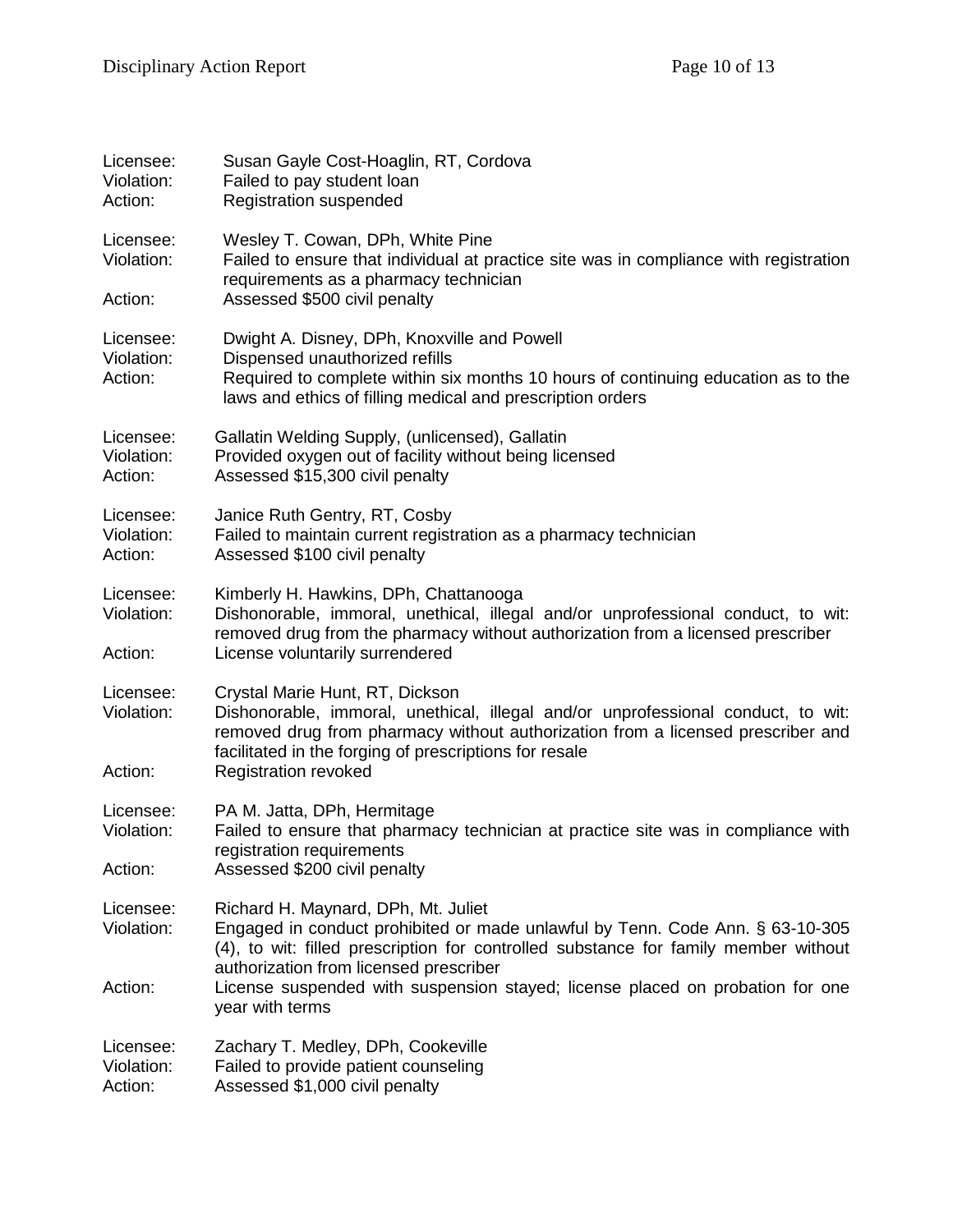| Licensee:<br>Violation:<br>Action: | Susan Gayle Cost-Hoaglin, RT, Cordova<br>Failed to pay student loan<br><b>Registration suspended</b>                                                                                                                                                                                                                                                      |
|------------------------------------|-----------------------------------------------------------------------------------------------------------------------------------------------------------------------------------------------------------------------------------------------------------------------------------------------------------------------------------------------------------|
| Licensee:<br>Violation:            | Wesley T. Cowan, DPh, White Pine<br>Failed to ensure that individual at practice site was in compliance with registration<br>requirements as a pharmacy technician                                                                                                                                                                                        |
| Action:                            | Assessed \$500 civil penalty                                                                                                                                                                                                                                                                                                                              |
| Licensee:<br>Violation:<br>Action: | Dwight A. Disney, DPh, Knoxville and Powell<br>Dispensed unauthorized refills<br>Required to complete within six months 10 hours of continuing education as to the<br>laws and ethics of filling medical and prescription orders                                                                                                                          |
| Licensee:<br>Violation:<br>Action: | Gallatin Welding Supply, (unlicensed), Gallatin<br>Provided oxygen out of facility without being licensed<br>Assessed \$15,300 civil penalty                                                                                                                                                                                                              |
| Licensee:<br>Violation:<br>Action: | Janice Ruth Gentry, RT, Cosby<br>Failed to maintain current registration as a pharmacy technician<br>Assessed \$100 civil penalty                                                                                                                                                                                                                         |
| Licensee:<br>Violation:<br>Action: | Kimberly H. Hawkins, DPh, Chattanooga<br>Dishonorable, immoral, unethical, illegal and/or unprofessional conduct, to wit:<br>removed drug from the pharmacy without authorization from a licensed prescriber<br>License voluntarily surrendered                                                                                                           |
| Licensee:<br>Violation:<br>Action: | Crystal Marie Hunt, RT, Dickson<br>Dishonorable, immoral, unethical, illegal and/or unprofessional conduct, to wit:<br>removed drug from pharmacy without authorization from a licensed prescriber and<br>facilitated in the forging of prescriptions for resale<br><b>Registration revoked</b>                                                           |
| Licensee:<br>Violation:<br>Action: | PA M. Jatta, DPh, Hermitage<br>Failed to ensure that pharmacy technician at practice site was in compliance with<br>registration requirements<br>Assessed \$200 civil penalty                                                                                                                                                                             |
| Licensee:<br>Violation:<br>Action: | Richard H. Maynard, DPh, Mt. Juliet<br>Engaged in conduct prohibited or made unlawful by Tenn. Code Ann. § 63-10-305<br>(4), to wit: filled prescription for controlled substance for family member without<br>authorization from licensed prescriber<br>License suspended with suspension stayed; license placed on probation for one<br>year with terms |
| Licensee:<br>Violation:<br>Action: | Zachary T. Medley, DPh, Cookeville<br>Failed to provide patient counseling<br>Assessed \$1,000 civil penalty                                                                                                                                                                                                                                              |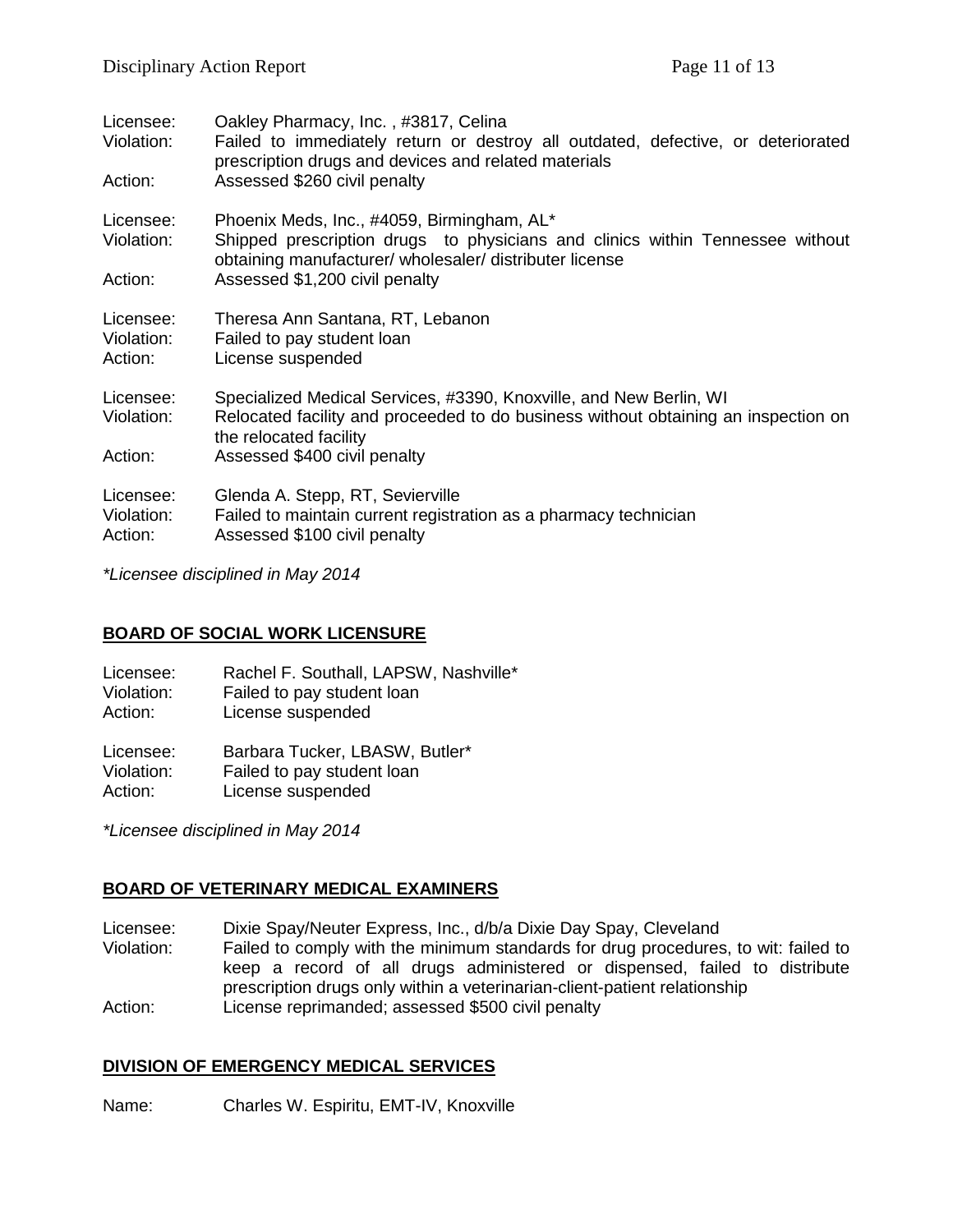| Licensee:<br>Violation:            | Oakley Pharmacy, Inc., #3817, Celina<br>Failed to immediately return or destroy all outdated, defective, or deteriorated<br>prescription drugs and devices and related materials       |
|------------------------------------|----------------------------------------------------------------------------------------------------------------------------------------------------------------------------------------|
| Action:                            | Assessed \$260 civil penalty                                                                                                                                                           |
| Licensee:<br>Violation:            | Phoenix Meds, Inc., #4059, Birmingham, AL*<br>Shipped prescription drugs to physicians and clinics within Tennessee without<br>obtaining manufacturer/ wholesaler/ distributer license |
| Action:                            | Assessed \$1,200 civil penalty                                                                                                                                                         |
| Licensee:<br>Violation:<br>Action: | Theresa Ann Santana, RT, Lebanon<br>Failed to pay student loan<br>License suspended                                                                                                    |
| Licensee:<br>Violation:            | Specialized Medical Services, #3390, Knoxville, and New Berlin, WI<br>Relocated facility and proceeded to do business without obtaining an inspection on<br>the relocated facility     |
| Action:                            | Assessed \$400 civil penalty                                                                                                                                                           |
| Licensee:<br>Violation:<br>Action: | Glenda A. Stepp, RT, Sevierville<br>Failed to maintain current registration as a pharmacy technician<br>Assessed \$100 civil penalty                                                   |

*\*Licensee disciplined in May 2014*

### **BOARD OF SOCIAL WORK LICENSURE**

Licensee: Rachel F. Southall, LAPSW, Nashville\*<br>Violation: Failed to pay student loan Failed to pay student loan Action: License suspended

Licensee: Barbara Tucker, LBASW, Butler\*<br>Violation: Failed to pay student loan Failed to pay student loan Action: License suspended

*\*Licensee disciplined in May 2014*

### **BOARD OF VETERINARY MEDICAL EXAMINERS**

Licensee: Dixie Spay/Neuter Express, Inc., d/b/a Dixie Day Spay, Cleveland

Violation: Failed to comply with the minimum standards for drug procedures, to wit: failed to keep a record of all drugs administered or dispensed, failed to distribute prescription drugs only within a veterinarian-client-patient relationship Action: License reprimanded; assessed \$500 civil penalty

#### **DIVISION OF EMERGENCY MEDICAL SERVICES**

Name: Charles W. Espiritu, EMT-IV, Knoxville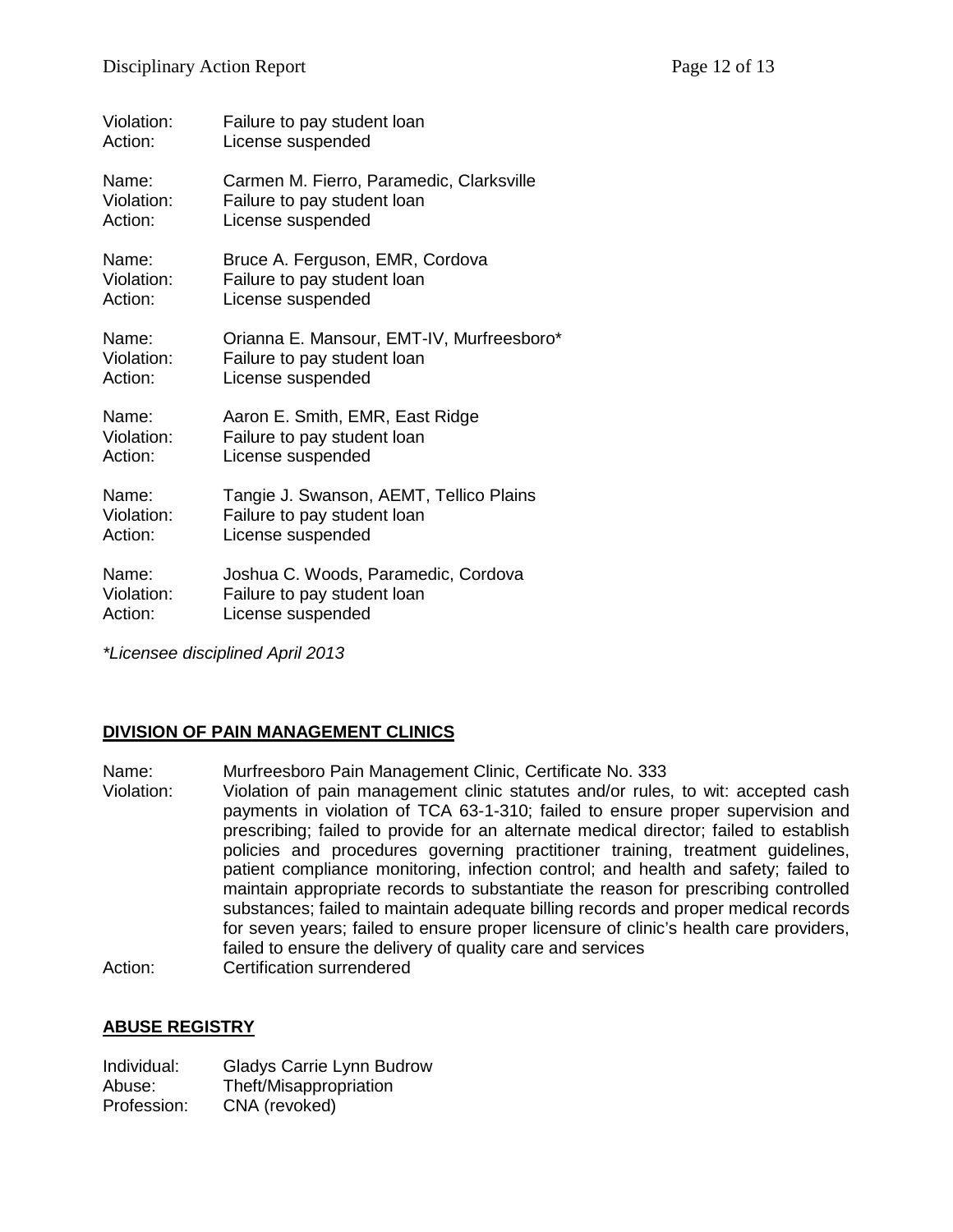| Violation: | Failure to pay student loan               |
|------------|-------------------------------------------|
| Action:    | License suspended                         |
| Name:      | Carmen M. Fierro, Paramedic, Clarksville  |
| Violation: | Failure to pay student loan               |
| Action:    | License suspended                         |
| Name:      | Bruce A. Ferguson, EMR, Cordova           |
| Violation: | Failure to pay student loan               |
| Action:    | License suspended                         |
| Name:      | Orianna E. Mansour, EMT-IV, Murfreesboro* |
| Violation: | Failure to pay student loan               |
| Action:    | License suspended                         |
| Name:      | Aaron E. Smith, EMR, East Ridge           |
| Violation: | Failure to pay student loan               |
| Action:    | License suspended                         |
| Name:      | Tangie J. Swanson, AEMT, Tellico Plains   |
| Violation: | Failure to pay student loan               |
| Action:    | License suspended                         |
| Name:      | Joshua C. Woods, Paramedic, Cordova       |
| Violation: | Failure to pay student loan               |
| Action:    | License suspended                         |

*\*Licensee disciplined April 2013*

## **DIVISION OF PAIN MANAGEMENT CLINICS**

Name: Murfreesboro Pain Management Clinic, Certificate No. 333

Violation: Violation of pain management clinic statutes and/or rules, to wit: accepted cash payments in violation of TCA 63-1-310; failed to ensure proper supervision and prescribing; failed to provide for an alternate medical director; failed to establish policies and procedures governing practitioner training, treatment guidelines, patient compliance monitoring, infection control; and health and safety; failed to maintain appropriate records to substantiate the reason for prescribing controlled substances; failed to maintain adequate billing records and proper medical records for seven years; failed to ensure proper licensure of clinic's health care providers, failed to ensure the delivery of quality care and services Action: Certification surrendered

### **ABUSE REGISTRY**

| Individual: | Gladys Carrie Lynn Budrow |
|-------------|---------------------------|
| Abuse:      | Theft/Misappropriation    |
| Profession: | CNA (revoked)             |